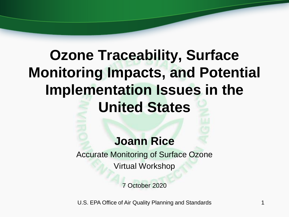# **Ozone Traceability, Surface Monitoring Impacts, and Potential Implementation Issues in the United States**

### **Joann Rice**

Accurate Monitoring of Surface Ozone Virtual Workshop

7 October 2020

U.S. EPA Office of Air Quality Planning and Standards 1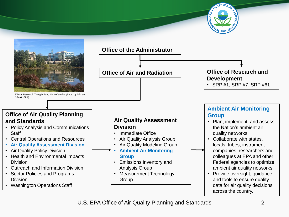



**Office of Air and Radiation Office of Research and Development**

• SRP #1, SRP #7, SRP #61

#### **Office of Air Quality Planning and Standards**

- Policy Analysis and Communications **Staff**
- Central Operations and Resources
- **Air Quality Assessment Division**
- Air Quality Policy Division
- Health and Environmental Impacts Division
- Outreach and Information Division
- Sector Policies and Programs **Division**
- Washington Operations Staff

#### **Air Quality Assessment Division**

- Immediate Office
- Air Quality Analysis Group
- Air Quality Modeling Group • **Ambient Air Monitoring**

### **Group**

- Emissions Inventory and Analysis Group
- Measurement Technology Group

### **Ambient Air Monitoring Group**

- Plan, implement, and assess the Nation's ambient air quality networks.
- Collaborate with states, locals, tribes, instrument companies, researchers and colleagues at EPA and other Federal agencies to optimize ambient air quality networks.
- Provide oversight, guidance, and tools to ensure quality data for air quality decisions across the country.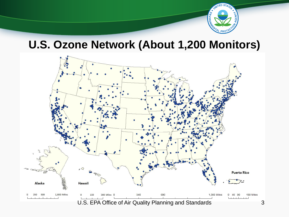

### **U.S. Ozone Network (About 1,200 Monitors)**

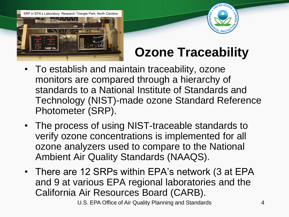SRP in EPA's Laboratory; Research Triangle Park, North Carolina





## **Ozone Traceability**

- To establish and maintain traceability, ozone monitors are compared through a hierarchy of standards to a National Institute of Standards and Technology (NIST)-made ozone Standard Reference Photometer (SRP).
- The process of using NIST-traceable standards to verify ozone concentrations is implemented for all ozone analyzers used to compare to the National Ambient Air Quality Standards (NAAQS).
- There are 12 SRPs within EPA's network (3 at EPA and 9 at various EPA regional laboratories and the California Air Resources Board (CARB).

U.S. EPA Office of Air Quality Planning and Standards 4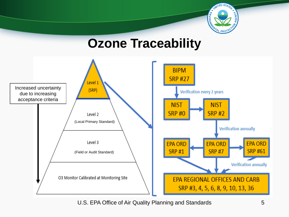

## **Ozone Traceability**



U.S. EPA Office of Air Quality Planning and Standards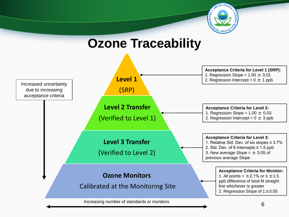

**Ozone Traceability**

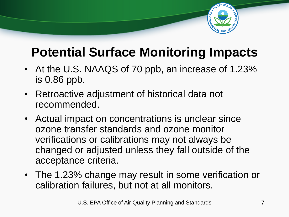

## **Potential Surface Monitoring Impacts**

- At the U.S. NAAQS of 70 ppb, an increase of 1.23% is 0.86 ppb.
- Retroactive adjustment of historical data not recommended.
- Actual impact on concentrations is unclear since ozone transfer standards and ozone monitor verifications or calibrations may not always be changed or adjusted unless they fall outside of the acceptance criteria.
- The 1.23% change may result in some verification or calibration failures, but not at all monitors.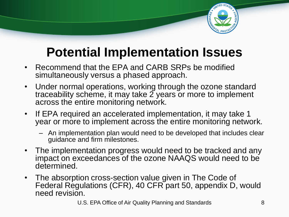

## **Potential Implementation Issues**

- Recommend that the EPA and CARB SRPs be modified simultaneously versus a phased approach.
- Under normal operations, working through the ozone standard traceability scheme, it may take  $\tilde{z}$  years or more to implement across the entire monitoring network.
- If EPA required an accelerated implementation, it may take 1 year or more to implement across the entire monitoring network.
	- An implementation plan would need to be developed that includes clear guidance and firm milestones.
- The implementation progress would need to be tracked and any impact on exceedances of the ozone NAAQS would need to be determined.
- The absorption cross-section value given in The Code of Federal Regulations (CFR), 40 CFR part 50, appendix D, would need revision.